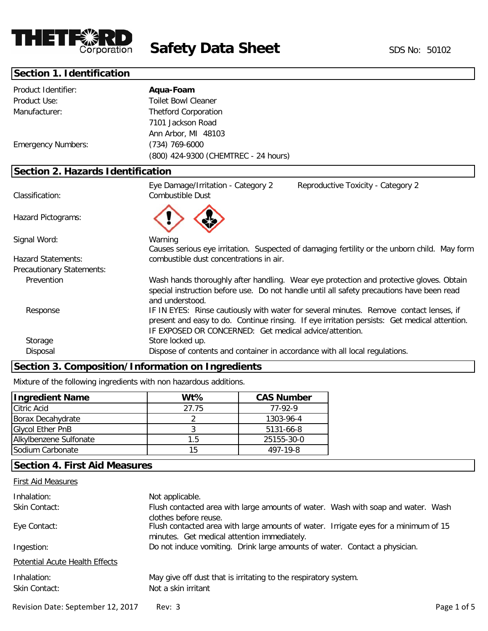

**Safety Data Sheet** SDS No: 50102

# **Section 1. Identification**

| Product Identifier:                      | Aqua-Foam                                                                                                                                                                                                                                        |
|------------------------------------------|--------------------------------------------------------------------------------------------------------------------------------------------------------------------------------------------------------------------------------------------------|
| Product Use:                             | <b>Toilet Bowl Cleaner</b>                                                                                                                                                                                                                       |
| Manufacturer:                            | <b>Thetford Corporation</b>                                                                                                                                                                                                                      |
|                                          | 7101 Jackson Road                                                                                                                                                                                                                                |
|                                          | Ann Arbor, MI 48103                                                                                                                                                                                                                              |
| <b>Emergency Numbers:</b>                | (734) 769-6000                                                                                                                                                                                                                                   |
|                                          | (800) 424-9300 (CHEMTREC - 24 hours)                                                                                                                                                                                                             |
| <b>Section 2. Hazards Identification</b> |                                                                                                                                                                                                                                                  |
| Classification:                          | Eye Damage/Irritation - Category 2<br>Reproductive Toxicity - Category 2<br><b>Combustible Dust</b>                                                                                                                                              |
| Hazard Pictograms:                       |                                                                                                                                                                                                                                                  |
| Signal Word:                             | Warning<br>Causes serious eye irritation. Suspected of damaging fertility or the unborn child. May form                                                                                                                                          |
| <b>Hazard Statements:</b>                | combustible dust concentrations in air.                                                                                                                                                                                                          |
| Precautionary Statements:                |                                                                                                                                                                                                                                                  |
| Prevention                               | Wash hands thoroughly after handling. Wear eye protection and protective gloves. Obtain<br>special instruction before use. Do not handle until all safety precautions have been read<br>and understood.                                          |
| Response                                 | IF IN EYES: Rinse cautiously with water for several minutes. Remove contact lenses, if<br>present and easy to do. Continue rinsing. If eye irritation persists: Get medical attention.<br>IF EXPOSED OR CONCERNED: Get medical advice/attention. |
| Storage                                  | Store locked up.                                                                                                                                                                                                                                 |
| Disposal                                 | Dispose of contents and container in accordance with all local regulations.                                                                                                                                                                      |

# **Section 3. Composition/Information on Ingredients**

Mixture of the following ingredients with non hazardous additions.

| <b>Ingredient Name</b>  | $Wt\%$ | <b>CAS Number</b> |
|-------------------------|--------|-------------------|
| <b>Citric Acid</b>      | 27.75  | 77-92-9           |
| Borax Decahydrate       |        | 1303-96-4         |
| <b>Glycol Ether PnB</b> |        | 5131-66-8         |
| Alkylbenzene Sulfonate  | 1.5    | 25155-30-0        |
| Sodium Carbonate        | 15     | 497-19-8          |

# **Section 4. First Aid Measures**

| <b>First Aid Measures</b>         |                                                                                                                                                             |             |
|-----------------------------------|-------------------------------------------------------------------------------------------------------------------------------------------------------------|-------------|
| Inhalation:                       | Not applicable.                                                                                                                                             |             |
| Skin Contact:                     | Flush contacted area with large amounts of water. Wash with soap and water. Wash                                                                            |             |
| Eye Contact:                      | clothes before reuse.<br>Flush contacted area with large amounts of water. Irrigate eyes for a minimum of 15<br>minutes. Get medical attention immediately. |             |
| Ingestion:                        | Do not induce vomiting. Drink large amounts of water. Contact a physician.                                                                                  |             |
| Potential Acute Health Effects    |                                                                                                                                                             |             |
| Inhalation:<br>Skin Contact:      | May give off dust that is irritating to the respiratory system.<br>Not a skin irritant                                                                      |             |
| Revision Date: September 12, 2017 | Rev: 3                                                                                                                                                      | Page 1 of 5 |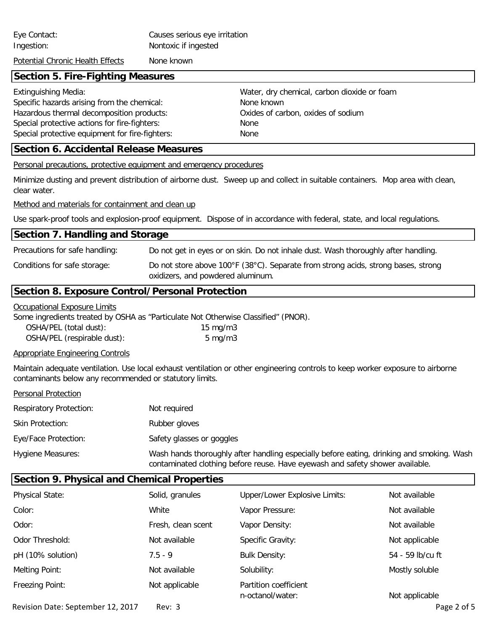| Eye Contact:<br>Ingestion:                                                                                                                                                                                                  | Causes serious eye irritation<br>Nontoxic if ingested |                                                                                                                               |
|-----------------------------------------------------------------------------------------------------------------------------------------------------------------------------------------------------------------------------|-------------------------------------------------------|-------------------------------------------------------------------------------------------------------------------------------|
| Potential Chronic Health Effects                                                                                                                                                                                            | None known                                            |                                                                                                                               |
| <b>Section 5. Fire-Fighting Measures</b>                                                                                                                                                                                    |                                                       |                                                                                                                               |
| <b>Extinguishing Media:</b><br>Specific hazards arising from the chemical:<br>Hazardous thermal decomposition products:<br>Special protective actions for fire-fighters:<br>Special protective equipment for fire-fighters: |                                                       | Water, dry chemical, carbon dioxide or foam<br>None known<br>Oxides of carbon, oxides of sodium<br>None<br>None               |
| <b>Section 6. Accidental Release Measures</b>                                                                                                                                                                               |                                                       |                                                                                                                               |
| <b>Personal precautions, protective equipment and emergency procedures</b>                                                                                                                                                  |                                                       |                                                                                                                               |
| clear water.                                                                                                                                                                                                                |                                                       | Minimize dusting and prevent distribution of airborne dust. Sweep up and collect in suitable containers. Mop area with clean, |
| Method and materials for containment and clean up                                                                                                                                                                           |                                                       |                                                                                                                               |
|                                                                                                                                                                                                                             |                                                       |                                                                                                                               |

Use spark-proof tools and explosion-proof equipment. Dispose of in accordance with federal, state, and local regulations.

| Section 7. Handling and Storage                |                                                                                                                        |
|------------------------------------------------|------------------------------------------------------------------------------------------------------------------------|
| Precautions for safe handling:                 | Do not get in eyes or on skin. Do not inhale dust. Wash thoroughly after handling.                                     |
| Conditions for safe storage:                   | Do not store above 100°F (38°C). Separate from strong acids, strong bases, strong<br>oxidizers, and powdered aluminum. |
| Section & Expecure Control/Dersonal Drotection |                                                                                                                        |

### **Section 8. Exposure Control/Personal Protection**

#### Occupational Exposure Limits

Some ingredients treated by OSHA as "Particulate Not Otherwise Classified" (PNOR).

| OSHA/PEL (total dust):      | $15 \text{ mg/m}$ |
|-----------------------------|-------------------|
| OSHA/PEL (respirable dust): | $5 \text{ mg/m}$  |

## Appropriate Engineering Controls

Maintain adequate ventilation. Use local exhaust ventilation or other engineering controls to keep worker exposure to airborne contaminants below any recommended or statutory limits.

| Personal Protection |
|---------------------|
|                     |

| <b>Respiratory Protection:</b> | Not required              |
|--------------------------------|---------------------------|
| Skin Protection:               | Rubber gloves             |
| Eye/Face Protection:           | Safety glasses or goggles |
| <b>Hygiene Measures:</b>       | Wash hands thoroughly a   |

after handling especially before eating, drinking and smoking. Wash contaminated clothing before reuse. Have eyewash and safety shower available.

| <b>Section 9. Physical and Chemical Properties</b> |                    |                                           |                  |
|----------------------------------------------------|--------------------|-------------------------------------------|------------------|
| <b>Physical State:</b>                             | Solid, granules    | <b>Upper/Lower Explosive Limits:</b>      | Not available    |
| Color:                                             | White              | Vapor Pressure:                           | Not available    |
| Odor:                                              | Fresh, clean scent | Vapor Density:                            | Not available    |
| Odor Threshold:                                    | Not available      | Specific Gravity:                         | Not applicable   |
| pH (10% solution)                                  | $7.5 - 9$          | <b>Bulk Density:</b>                      | 54 - 59 lb/cu ft |
| Melting Point:                                     | Not available      | Solubility:                               | Mostly soluble   |
| Freezing Point:                                    | Not applicable     | Partition coefficient<br>n-octanol/water: | Not applicable   |
| Revision Date: September 12, 2017                  | Rev: 3             |                                           | Page 2 of 5      |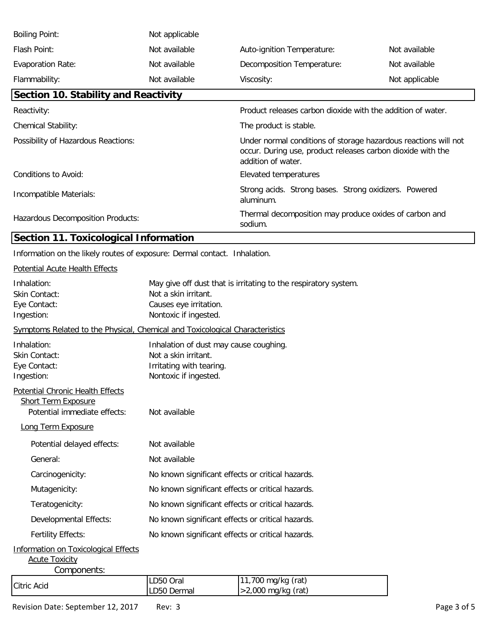| <b>Boiling Point:</b>                | Not applicable                                                                                                                                       |                                                                    |                |
|--------------------------------------|------------------------------------------------------------------------------------------------------------------------------------------------------|--------------------------------------------------------------------|----------------|
| Flash Point:                         | Not available                                                                                                                                        | Auto-ignition Temperature:                                         | Not available  |
| <b>Evaporation Rate:</b>             | Not available                                                                                                                                        | Decomposition Temperature:                                         | Not available  |
| Flammability:                        | Not available                                                                                                                                        | Viscosity:                                                         | Not applicable |
| Section 10. Stability and Reactivity |                                                                                                                                                      |                                                                    |                |
| Reactivity:                          |                                                                                                                                                      | Product releases carbon dioxide with the addition of water.        |                |
| <b>Chemical Stability:</b>           | The product is stable.                                                                                                                               |                                                                    |                |
| Possibility of Hazardous Reactions:  | Under normal conditions of storage hazardous reactions will not<br>occur. During use, product releases carbon dioxide with the<br>addition of water. |                                                                    |                |
| Conditions to Avoid:                 |                                                                                                                                                      | Elevated temperatures                                              |                |
| Incompatible Materials:              |                                                                                                                                                      | Strong acids. Strong bases. Strong oxidizers. Powered<br>aluminum. |                |
| Hazardous Decomposition Products:    |                                                                                                                                                      | Thermal decomposition may produce oxides of carbon and<br>sodium.  |                |

# **Section 11. Toxicological Information**

Information on the likely routes of exposure: Dermal contact. Inhalation.

## Potential Acute Health Effects

| Inhalation:<br>Skin Contact:<br>Eye Contact:<br>Ingestion:                                                           | May give off dust that is irritating to the respiratory system.<br>Not a skin irritant.<br>Causes eye irritation.<br>Nontoxic if ingested. |                                            |  |
|----------------------------------------------------------------------------------------------------------------------|--------------------------------------------------------------------------------------------------------------------------------------------|--------------------------------------------|--|
| Symptoms Related to the Physical, Chemical and Toxicological Characteristics                                         |                                                                                                                                            |                                            |  |
| Inhalation:<br>Skin Contact:<br>Eye Contact:<br>Ingestion:                                                           | Inhalation of dust may cause coughing.<br>Not a skin irritant.<br>Irritating with tearing.<br>Nontoxic if ingested.                        |                                            |  |
| Potential Chronic Health Effects<br><b>Short Term Exposure</b><br>Potential immediate effects:<br>Long Term Exposure | Not available                                                                                                                              |                                            |  |
| Potential delayed effects:                                                                                           | Not available                                                                                                                              |                                            |  |
| General:                                                                                                             | Not available                                                                                                                              |                                            |  |
| Carcinogenicity:                                                                                                     | No known significant effects or critical hazards.                                                                                          |                                            |  |
| Mutagenicity:                                                                                                        | No known significant effects or critical hazards.                                                                                          |                                            |  |
| Teratogenicity:                                                                                                      | No known significant effects or critical hazards.                                                                                          |                                            |  |
| Developmental Effects:                                                                                               | No known significant effects or critical hazards.                                                                                          |                                            |  |
| <b>Fertility Effects:</b>                                                                                            | No known significant effects or critical hazards.                                                                                          |                                            |  |
| <b>Information on Toxicological Effects</b><br><b>Acute Toxicity</b><br>Components:                                  |                                                                                                                                            |                                            |  |
| <b>Citric Acid</b>                                                                                                   | LD50 Oral<br>LD50 Dermal                                                                                                                   | 11,700 mg/kg (rat)<br>$>2,000$ mg/kg (rat) |  |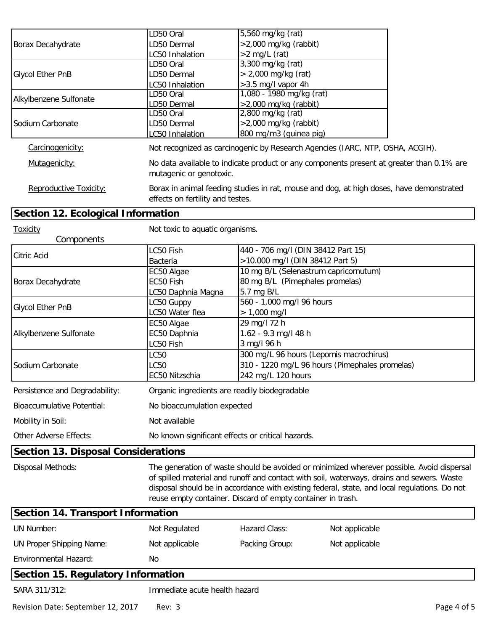|                                    | LD50 Oral                                         | 5,560 mg/kg (rat)                                                                        |  |  |
|------------------------------------|---------------------------------------------------|------------------------------------------------------------------------------------------|--|--|
| Borax Decahydrate                  | LD50 Dermal                                       | $>2,000$ mg/kg (rabbit)                                                                  |  |  |
|                                    | LC50 Inhalation                                   | $>2$ mg/L (rat)                                                                          |  |  |
|                                    | LD50 Oral                                         | 3,300 mg/kg (rat)                                                                        |  |  |
| <b>Glycol Ether PnB</b>            | LD50 Dermal                                       | $> 2,000$ mg/kg (rat)                                                                    |  |  |
|                                    | LC50 Inhalation                                   | >3.5 mg/l vapor 4h                                                                       |  |  |
| Alkylbenzene Sulfonate             | LD50 Oral                                         | 1,080 - 1980 mg/kg (rat)                                                                 |  |  |
|                                    | LD50 Dermal                                       | $>2,000$ mg/kg (rabbit)                                                                  |  |  |
|                                    | LD50 Oral                                         | 2,800 mg/kg (rat)                                                                        |  |  |
| Sodium Carbonate                   | LD50 Dermal                                       | $>2,000$ mg/kg (rabbit)                                                                  |  |  |
|                                    | LC50 Inhalation                                   | 800 mg/m3 (guinea pig)                                                                   |  |  |
| Carcinogenicity:                   |                                                   | Not recognized as carcinogenic by Research Agencies (IARC, NTP, OSHA, ACGIH).            |  |  |
| Mutagenicity:                      | mutagenic or genotoxic.                           | No data available to indicate product or any components present at greater than 0.1% are |  |  |
| Reproductive Toxicity:             | effects on fertility and testes.                  | Borax in animal feeding studies in rat, mouse and dog, at high doses, have demonstrated  |  |  |
| Section 12. Ecological Information |                                                   |                                                                                          |  |  |
| <b>Toxicity</b><br>Components      | Not toxic to aquatic organisms.                   |                                                                                          |  |  |
|                                    | LC50 Fish                                         | 440 - 706 mg/l (DIN 38412 Part 15)                                                       |  |  |
| Citric Acid                        | <b>Bacteria</b>                                   | >10.000 mg/l (DIN 38412 Part 5)                                                          |  |  |
|                                    | EC50 Algae                                        | 10 mg B/L (Selenastrum capricornutum)                                                    |  |  |
| Borax Decahydrate                  | EC50 Fish                                         | 80 mg B/L (Pimephales promelas)                                                          |  |  |
|                                    | LC50 Daphnia Magna                                | 5.7 mg B/L                                                                               |  |  |
|                                    | LC50 Guppy                                        | 560 - 1,000 mg/l 96 hours                                                                |  |  |
| <b>Glycol Ether PnB</b>            | LC50 Water flea                                   | $> 1,000$ mg/l                                                                           |  |  |
|                                    | EC50 Algae                                        | 29 mg/l 72 h                                                                             |  |  |
| Alkylbenzene Sulfonate             | EC50 Daphnia                                      | 1.62 - 9.3 mg/l 48 h                                                                     |  |  |
|                                    | LC50 Fish                                         | 3 mg/l 96 h                                                                              |  |  |
|                                    | LC50                                              | 300 mg/L 96 hours (Lepomis macrochirus)                                                  |  |  |
| Sodium Carbonate                   | LC50                                              | 310 - 1220 mg/L 96 hours (Pimephales promelas)                                           |  |  |
|                                    | EC50 Nitzschia                                    | 242 mg/L 120 hours                                                                       |  |  |
|                                    |                                                   |                                                                                          |  |  |
| Persistence and Degradability:     |                                                   | Organic ingredients are readily biodegradable                                            |  |  |
| <b>Bioaccumulative Potential:</b>  | No bioaccumulation expected                       |                                                                                          |  |  |
| Mobility in Soil:                  | Not available                                     |                                                                                          |  |  |
| Other Adverse Effects:             | No known significant effects or critical hazards. |                                                                                          |  |  |

## **Section 13. Disposal Considerations**

Disposal Methods:

The generation of waste should be avoided or minimized wherever possible. Avoid dispersal of spilled material and runoff and contact with soil, waterways, drains and sewers. Waste disposal should be in accordance with existing federal, state, and local regulations. Do not reuse empty container. Discard of empty container in trash.

| Section 14. Transport Information  |                               |                |                |  |  |  |
|------------------------------------|-------------------------------|----------------|----------------|--|--|--|
| UN Number:                         | Not Regulated                 | Hazard Class:  | Not applicable |  |  |  |
| UN Proper Shipping Name:           | Not applicable                | Packing Group: | Not applicable |  |  |  |
| <b>Environmental Hazard:</b>       | No                            |                |                |  |  |  |
| Section 15. Regulatory Information |                               |                |                |  |  |  |
| SARA 311/312:                      | Immediate acute health hazard |                |                |  |  |  |